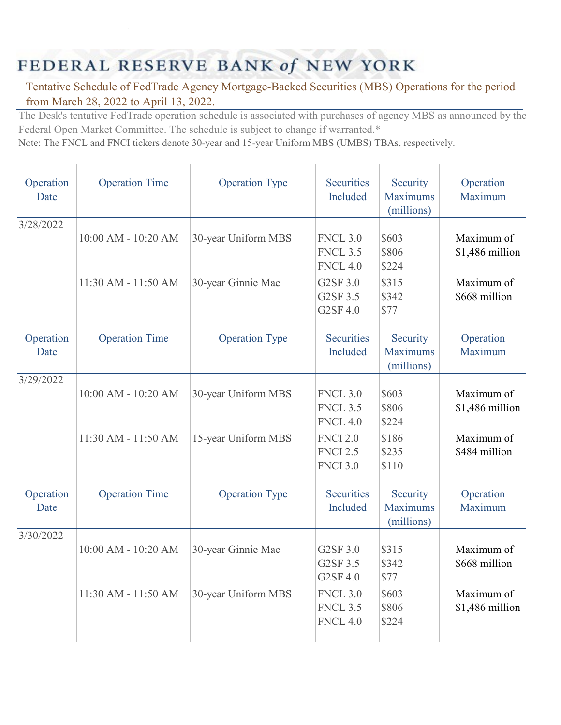## FEDERAL RESERVE BANK of NEW YORK

## Tentative Schedule of FedTrade Agency Mortgage-Backed Securities (MBS) Operations for the period from March 28, 2022 to April 13, 2022.

The Desk's tentative FedTrade operation schedule is associated with purchases of agency MBS as announced by the Federal Open Market Committee. The schedule is subject to change if warranted.\*

Note: The FNCL and FNCI tickers denote 30-year and 15-year Uniform MBS (UMBS) TBAs, respectively.

| Operation<br>Date | <b>Operation Time</b> | <b>Operation Type</b> | Securities<br>Included                                | Security<br><b>Maximums</b><br>(millions) | Operation<br>Maximum          |
|-------------------|-----------------------|-----------------------|-------------------------------------------------------|-------------------------------------------|-------------------------------|
| 3/28/2022         | 10:00 AM - 10:20 AM   | 30-year Uniform MBS   | <b>FNCL 3.0</b><br><b>FNCL 3.5</b><br><b>FNCL 4.0</b> | \$603<br>\$806<br>\$224                   | Maximum of<br>\$1,486 million |
|                   | 11:30 AM - 11:50 AM   | 30-year Ginnie Mae    | G2SF 3.0<br>G2SF 3.5<br>G2SF 4.0                      | \$315<br>\$342<br>\$77                    | Maximum of<br>\$668 million   |
| Operation<br>Date | <b>Operation Time</b> | <b>Operation Type</b> | <b>Securities</b><br>Included                         | Security<br><b>Maximums</b><br>(millions) | Operation<br>Maximum          |
| 3/29/2022         | 10:00 AM - 10:20 AM   | 30-year Uniform MBS   | <b>FNCL 3.0</b><br><b>FNCL 3.5</b><br><b>FNCL 4.0</b> | \$603<br>\$806<br>\$224                   | Maximum of<br>\$1,486 million |
|                   | 11:30 AM - 11:50 AM   | 15-year Uniform MBS   | <b>FNCI 2.0</b><br><b>FNCI 2.5</b><br><b>FNCI 3.0</b> | \$186<br>\$235<br>\$110                   | Maximum of<br>\$484 million   |
| Operation<br>Date | <b>Operation Time</b> | <b>Operation Type</b> | <b>Securities</b><br>Included                         | Security<br><b>Maximums</b><br>(millions) | Operation<br>Maximum          |
| 3/30/2022         | 10:00 AM - 10:20 AM   | 30-year Ginnie Mae    | G2SF 3.0<br>G2SF 3.5<br>G2SF 4.0                      | \$315<br>\$342<br>\$77                    | Maximum of<br>\$668 million   |
|                   | 11:30 AM - 11:50 AM   | 30-year Uniform MBS   | <b>FNCL 3.0</b><br><b>FNCL 3.5</b><br><b>FNCL 4.0</b> | \$603<br>\$806<br>\$224                   | Maximum of<br>\$1,486 million |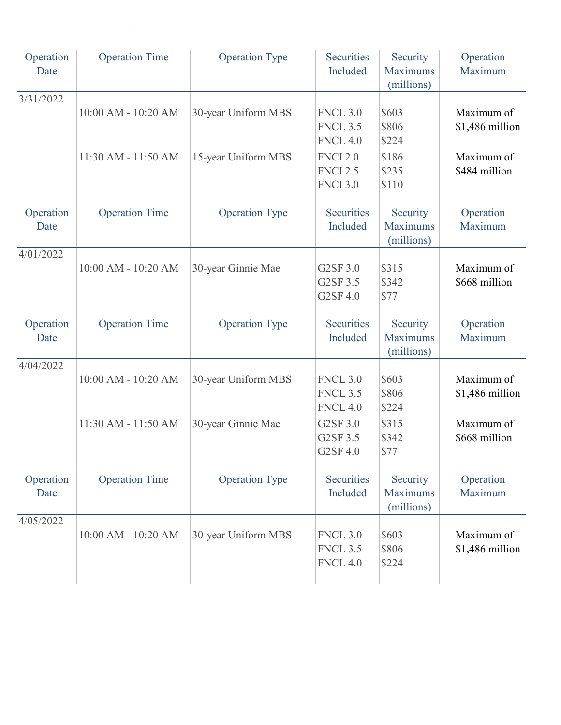| Operation<br>Date | <b>Operation Time</b>   | <b>Operation Type</b> | <b>Securities</b><br>Included                         | Security<br><b>Maximums</b><br>(millions) | Operation<br>Maximum          |
|-------------------|-------------------------|-----------------------|-------------------------------------------------------|-------------------------------------------|-------------------------------|
| 3/31/2022         | 10:00 AM - 10:20 AM     | 30-year Uniform MBS   | <b>FNCL 3.0</b><br><b>FNCL 3.5</b><br><b>FNCL 4.0</b> | \$603<br>\$806<br>\$224                   | Maximum of<br>\$1,486 million |
|                   | 11:30 AM - 11:50 AM     | 15-year Uniform MBS   | <b>FNCI 2.0</b><br><b>FNCI 2.5</b><br><b>FNCI 3.0</b> | \$186<br>\$235<br>\$110                   | Maximum of<br>\$484 million   |
| Operation<br>Date | <b>Operation Time</b>   | <b>Operation Type</b> | <b>Securities</b><br>Included                         | Security<br><b>Maximums</b><br>(millions) | Operation<br>Maximum          |
| 4/01/2022         | 10:00 AM - 10:20 AM     | 30-year Ginnie Mae    | G2SF 3.0<br>G2SF 3.5<br>G2SF 4.0                      | \$315<br>\$342<br>\$77                    | Maximum of<br>\$668 million   |
| Operation<br>Date | <b>Operation Time</b>   | <b>Operation Type</b> | <b>Securities</b><br>Included                         | Security<br><b>Maximums</b><br>(millions) | Operation<br>Maximum          |
| 4/04/2022         | 10:00 AM - 10:20 AM     | 30-year Uniform MBS   | <b>FNCL 3.0</b><br><b>FNCL 3.5</b><br><b>FNCL 4.0</b> | \$603<br>\$806<br>\$224                   | Maximum of<br>\$1,486 million |
|                   | 11:30 AM - 11:50 AM     | 30-year Ginnie Mae    | G2SF 3.0<br>G2SF 3.5<br>G2SF 4.0                      | \$315<br>\$342<br>\$77                    | Maximum of<br>\$668 million   |
| Operation<br>Date | <b>Operation Time</b>   | <b>Operation Type</b> | <b>Securities</b><br>Included                         | Security<br><b>Maximums</b><br>(millions) | Operation<br>Maximum          |
| 4/05/2022         | $10:00$ AM - $10:20$ AM | 30-year Uniform MBS   | <b>FNCL 3.0</b><br><b>FNCL 3.5</b><br><b>FNCL 4.0</b> | \$603<br>\$806<br>\$224                   | Maximum of<br>\$1,486 million |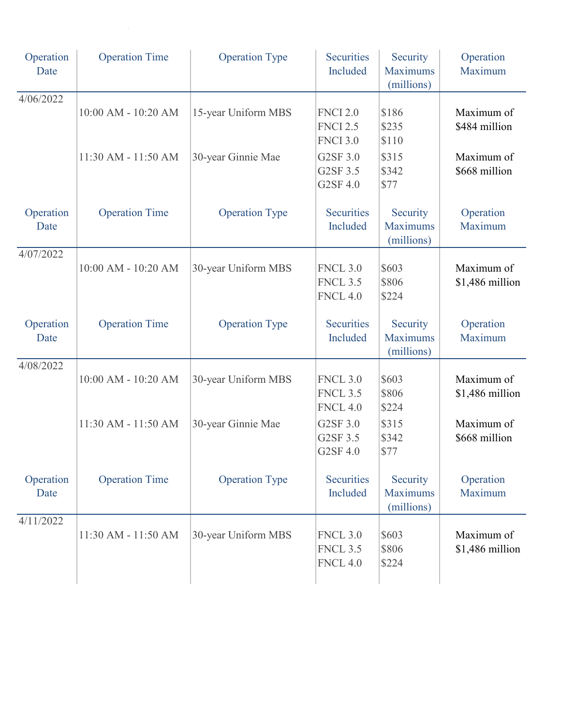| Operation<br>Date | <b>Operation Time</b> | <b>Operation Type</b> | <b>Securities</b><br>Included                         | Security<br><b>Maximums</b><br>(millions) | Operation<br>Maximum          |
|-------------------|-----------------------|-----------------------|-------------------------------------------------------|-------------------------------------------|-------------------------------|
| 4/06/2022         | 10:00 AM - 10:20 AM   | 15-year Uniform MBS   | <b>FNCI 2.0</b><br><b>FNCI 2.5</b><br><b>FNCI 3.0</b> | \$186<br>\$235<br>\$110                   | Maximum of<br>\$484 million   |
|                   | 11:30 AM - 11:50 AM   | 30-year Ginnie Mae    | G2SF 3.0<br>G2SF 3.5<br>G2SF 4.0                      | \$315<br>\$342<br>\$77                    | Maximum of<br>\$668 million   |
| Operation<br>Date | <b>Operation Time</b> | <b>Operation Type</b> | Securities<br>Included                                | Security<br><b>Maximums</b><br>(millions) | Operation<br>Maximum          |
| 4/07/2022         | 10:00 AM - 10:20 AM   | 30-year Uniform MBS   | <b>FNCL 3.0</b><br><b>FNCL 3.5</b><br><b>FNCL 4.0</b> | \$603<br>\$806<br>\$224                   | Maximum of<br>\$1,486 million |
| Operation<br>Date | <b>Operation Time</b> | <b>Operation Type</b> | Securities<br>Included                                | Security<br><b>Maximums</b><br>(millions) | Operation<br>Maximum          |
| 4/08/2022         | 10:00 AM - 10:20 AM   | 30-year Uniform MBS   | <b>FNCL 3.0</b><br><b>FNCL 3.5</b><br><b>FNCL 4.0</b> | \$603<br>\$806<br>\$224                   | Maximum of<br>\$1,486 million |
|                   | 11:30 AM - 11:50 AM   | 30-year Ginnie Mae    | G2SF 3.0<br>G2SF 3.5<br>G2SF 4.0                      | \$315<br>\$342<br>\$77                    | Maximum of<br>\$668 million   |
| Operation<br>Date | <b>Operation Time</b> | <b>Operation Type</b> | <b>Securities</b><br>Included                         | Security<br><b>Maximums</b><br>(millions) | Operation<br>Maximum          |
| 4/11/2022         | 11:30 AM - 11:50 AM   | 30-year Uniform MBS   | <b>FNCL 3.0</b><br><b>FNCL 3.5</b><br><b>FNCL 4.0</b> | \$603<br>\$806<br>\$224                   | Maximum of<br>\$1,486 million |